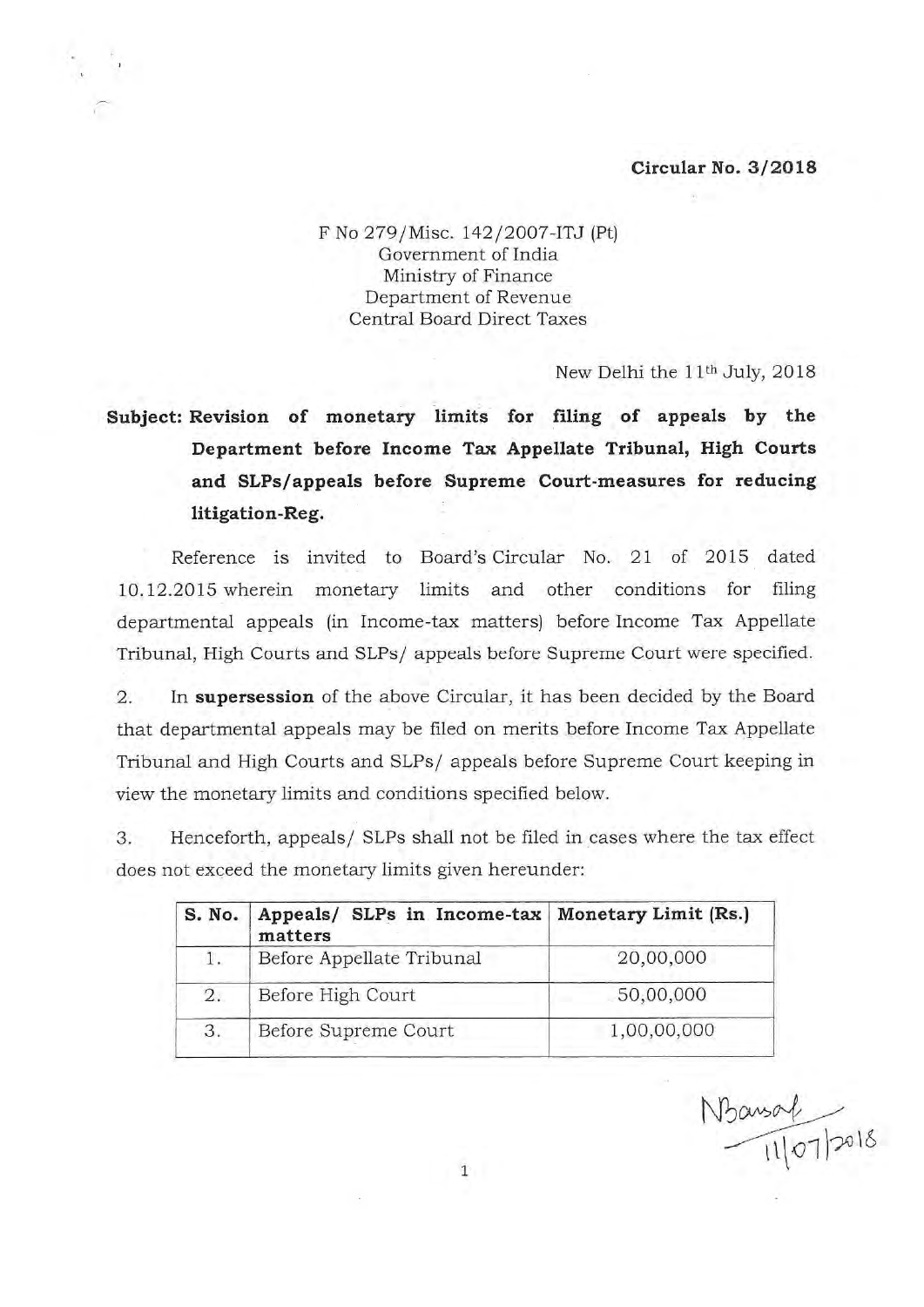## **Circular No. 3/2018**

F No 279/Misc. 142/2007-ITJ (Pt) Government of India Ministry of Finance Department of Revenue Central Board Direct Taxes

New Delhi the 11<sup>th</sup> July, 2018

**Subject: Revision of monetary limits for filing of appeals by the Department before Income Tax Appellate Tribunal, High Courts and SLPs/appeals before Supreme Court-measures for reducing litigation-Reg.** 

Reference is invited to Board's Circular No. 21 of 2015 dated 10.12.2015 wherein monetary limits and other conditions for filing departmental appeals (in Income-tax matters) before Income Tax Appellate Tribunal, High Courts and SLPs/ appeals before Supreme Court were specified.

2. In **supersession** of the above Circular, it has been decided by the Board that departmental appeals may be filed on merits before Income Tax Appellate Tribunal and High Courts and SLPs/ appeals before Supreme Court keeping in view the monetary limits and conditions specified below.

3 . Henceforth, appeals/ SLPs shall not be filed in cases where the tax effect does not exceed the monetary limits given hereunder:

| S. No. | Appeals/ SLPs in Income-tax   Monetary Limit (Rs.)<br>matters |             |
|--------|---------------------------------------------------------------|-------------|
| 1.     | Before Appellate Tribunal                                     | 20,00,000   |
| 2.     | Before High Court                                             | 50,00,000   |
| 3.     | Before Supreme Court                                          | 1,00,00,000 |

 $N$ Bansol<br> $\frac{1}{11|07|}$ 2018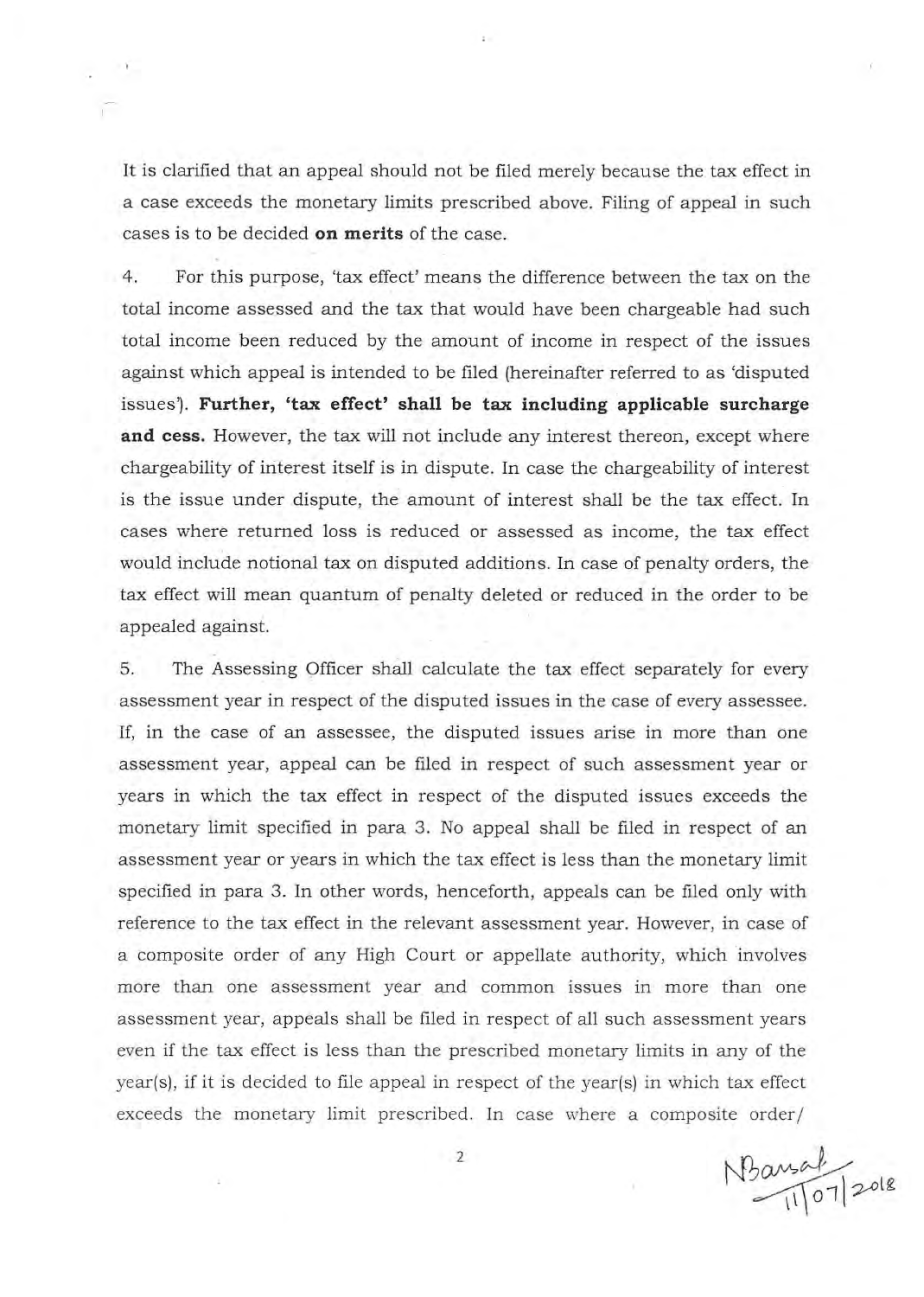It is clarified that an appeal should not be filed merely because the tax effect in a case exceeds the monetary limits prescribed above. Filing of appeal in such cases is to be decided **on merits** of the case.

4. For this purpose, 'tax effect' means the difference between the tax on the total income assessed and the tax that would have been chargeable had such total income been reduced by the amount of income in respect of the issues against which appeal is intended to be filed (hereinafter referred to as 'disputed issues'). Further, 'tax effect' shall be tax including applicable surcharge **and cess.** However, the tax will not include any interest thereon, except where chargeability of interest itself is in dispute. In case the chargeability of interest is the issue under dispute, the amount of interest shall be the tax effect. In cases where returned loss is reduced or assessed as income, the tax effect would include notional tax on disputed additions. In case of penalty orders, the tax effect will mean quantum of penalty deleted or reduced in the order to be appealed against.

5. The Assessing Officer shall calculate the tax effect separately for every assessment year in respect of the disputed issues in the case of every assessee. If, in the case of an assessee, the disputed issues arise in more than one assessment year, appeal can be filed in respect of such assessment year or years in which the tax effect in respect of the disputed issues exceeds the monetary limit specified in para 3. No appeal shall be filed in respect of an assessment year or years in which the tax effect is less than the monetary limit specified in para 3. In other words, henceforth, appeals can be filed only with reference to the tax effect in the relevant assessment year. However, in case of a composite order of any High Court or appellate authority, which involves more than one assessment year and common issues in more than one assessment year, appeals shall be filed in respect of all such assessment years even if the tax effect is less than the prescribed monetary limits in any of the year(s), if it is decided to file appeal in respect of the year(s) in which tax effect exceeds the monetary limit prescribed. In case where a composite order/

 $N$ Baught 2018

2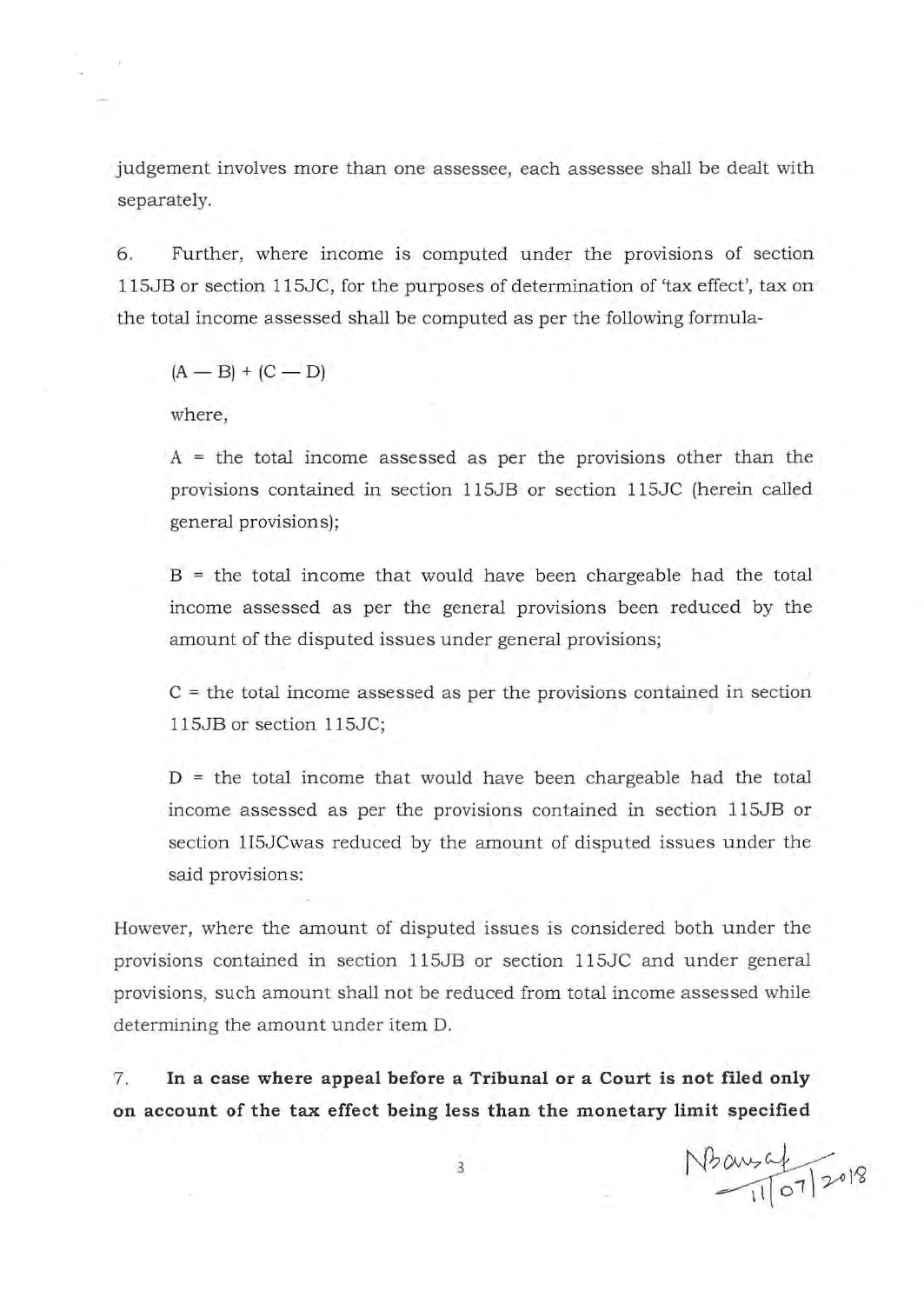judgement involves more than one assessee, each assessee shall be dealt with separately.

6. Further, where income is computed under the provisions of section 115JB or section 115JC, for the purposes of determination of 'tax effect', tax on the total income assessed shall be computed as per the following formula-

 $(A - B) + (C - D)$ 

where.

 $A =$  the total income assessed as per the provisions other than the provisions contained in section 115JB or section 115JC (herein called general provisions);

 $B =$  the total income that would have been chargeable had the total income assessed as per the general provisions been reduced by the amount of the disputed issues under general provisions;

 $C =$  the total income assessed as per the provisions contained in section 115JB or section 115JC;

 $D =$  the total income that would have been chargeable had the total income assessed as per the provisions contained in section 115JB or section 1I5JCwas reduced by the amount of disputed issues under the said provisions:

However, where the amount of disputed issues is considered both under the provisions contained in section 115JB or section 115JC and under general provisions, such amount shall not be reduced from total income assessed while determining the amount under item D.

7. **In a case where appeal before a Tribunal or a Court is not filed only on account of the tax effect being less than the monetary limit specified** 

 $N$ bausaf  $\frac{1}{10^{7}}$  2018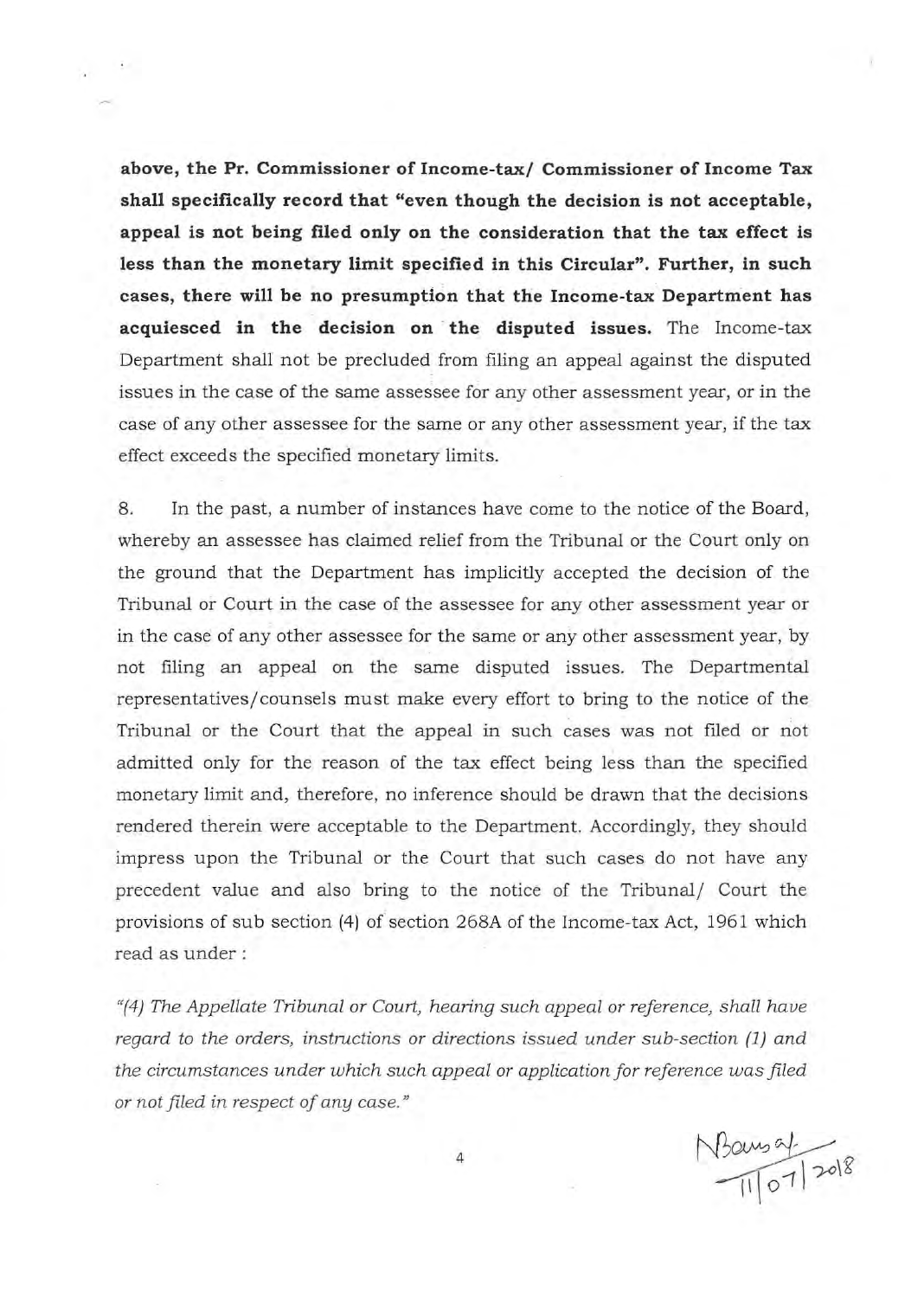above, the Pr. Commissioner of Income-tax/ Commissioner of Income Tax **shall specifically record that "even though the decision is not acceptable, appeal is not being filed only on the consideration that the tax effect is less than the monetary limit specified in this Circular". Further, in such cases, there will be no presumption that the Income-tax Department has**  acquiesced in the decision on the disputed issues. The Income-tax Department shall not be precluded from filing an appeal against the disputed issues in the case of the same assessee for any other assessment year, or in the case of any other assessee for the same or any other assessment year, if the tax effect exceeds the specified monetary limits.

 $1.3 - 1.0$ 

8. **In** the past, a number of instances have come to the notice of the Board, whereby an assessee has claimed relief from the Tribunal or the Court only on the ground that the Department has implicitly accepted the decision of the Tribunal or Court in the case of the assessee for any other assessment year or in the case of any other assessee for the same or any other assessment year, by not filing an appeal on the same disputed issues. The Departmental representatives/ counsels must make every effort to bring to the notice of the Tribunal or the Court that the appeal in such cases was not filed or not admitted only for the reason of the tax effect being less than the specified monetary limit and, therefore, no inference should be drawn that the decisions rendered therein were acceptable to the Department. Accordingly, they should impress upon the Tribunal or the Court that such cases do not have any precedent value and also bring to the notice of the Tribunal/ Court the provisions of sub section (4) of section 268A of the Income-tax Act, 1961 which read as under :

*"(4) The Appellate Tribunal or Court, hearing such appeal or reference, shall have regard to the orders, instructions or directions issued under sub-section (1) and the circumstances under which such appeal or application for reference was filed or not filed* in *respect of any case."* 

 $N$ Bours af<br>11/07/2018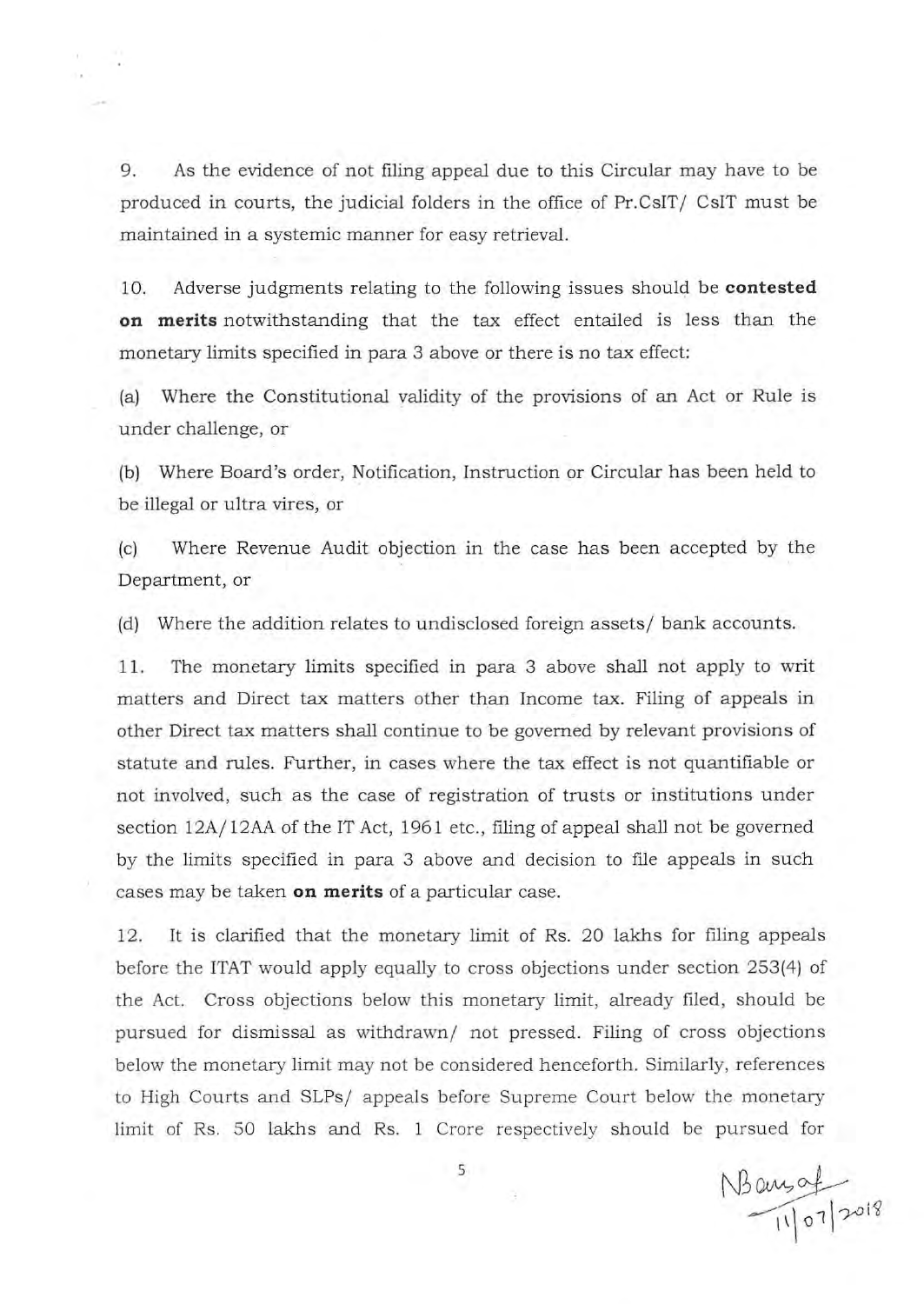9. As the evidence of not filing appeal due to this Circular may have to be produced in courts, the judicial folders in the office of Pr.CsIT / CsIT must be maintained in a systemic manner for easy retrieval.

10. Adverse judgments relating to the following issues should be **contested on merits** notwithstanding that the tax effect entailed is less than the monetary limits specified in para 3 above or there is no tax effect:

(a) Where the Constitutional validity of the provisions of an Act or Rule is under challenge, or

(b) Where Board's order, Notification, Instruction or Circular has been held to be illegal or ultra vires, or

(c) Where Revenue Audit objection in the case has been accepted by the Department, or

(d) Where the addition relates to undisclosed foreign assets/ bank accounts.

11. The monetary limits specified in para 3 above shall not apply to writ matters and Direct tax matters other than Income tax. Filing of appeals in other Direct tax matters shall continue to be governed by relevant provisions of statute and rules. Further, in cases where the tax effect is not quantifiable or not involved, such as the case of registration of trusts or institutions under section 12A/ 12AA of the IT Act, 1961 etc., filing of appeal shall not be governed by the limits specified in para 3 above and decision to file appeals in such cases may be taken **on merits** of a particular case.

12. It is clarified that the monetary limit of Rs. 20 lakhs for filing appeals before the ITAT would apply equally to cross objections under section 253(4) of the Act. Cross objections below this monetary limit, already filed, should be pursued for dismissal as withdrawn/ not pressed. Filing of cross objections below the monetary limit may not be considered henceforth. Similarly, references to High Courts and SLPs/ appeals before Supreme Court below the monetary limit of Rs. 50 lakhs and Rs. 1 Crore respectively should be pursued for

5

R.

 $N$ Baugat